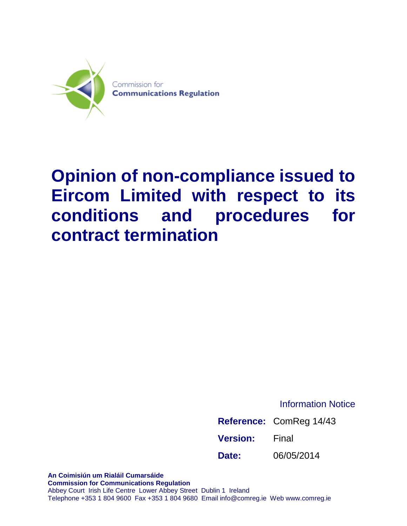

## **Opinion of non-compliance issued to Eircom Limited with respect to its conditions and procedures for contract termination**

Information Notice

|                 | Reference: ComReg 14/43 |
|-----------------|-------------------------|
| <b>Version:</b> | Final                   |
| Date:           | 06/05/2014              |

**An Coimisiún um Rialáil Cumarsáide Commission for Communications Regulation** Abbey Court Irish Life Centre Lower Abbey Street Dublin 1 Ireland Telephone +353 1 804 9600 Fax +353 1 804 9680 Email info@comreg.ie Web www.comreg.ie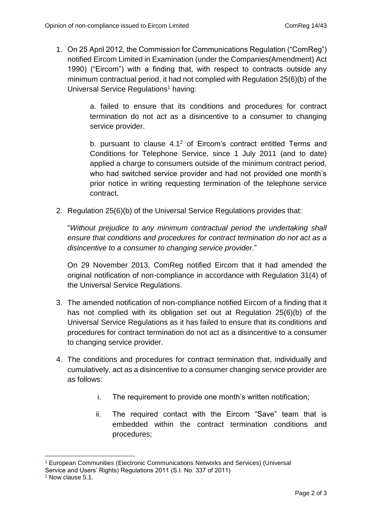1. On 25 April 2012, the Commission for Communications Regulation ("ComReg") notified Eircom Limited in Examination (under the Companies(Amendment) Act 1990) ("Eircom") with a finding that, with respect to contracts outside any minimum contractual period, it had not complied with Regulation 25(6)(b) of the Universal Service Regulations<sup>1</sup> having:

> a. failed to ensure that its conditions and procedures for contract termination do not act as a disincentive to a consumer to changing service provider.

> b. pursuant to clause  $4.1<sup>2</sup>$  of Eircom's contract entitled Terms and Conditions for Telephone Service, since 1 July 2011 (and to date) applied a charge to consumers outside of the minimum contract period, who had switched service provider and had not provided one month's prior notice in writing requesting termination of the telephone service contract.

2. Regulation 25(6)(b) of the Universal Service Regulations provides that:

"*Without prejudice to any minimum contractual period the undertaking shall ensure that conditions and procedures for contract termination do not act as a disincentive to a consumer to changing service provider*."

On 29 November 2013, ComReg notified Eircom that it had amended the original notification of non-compliance in accordance with Regulation 31(4) of the Universal Service Regulations.

- 3. The amended notification of non-compliance notified Eircom of a finding that it has not complied with its obligation set out at Regulation 25(6)(b) of the Universal Service Regulations as it has failed to ensure that its conditions and procedures for contract termination do not act as a disincentive to a consumer to changing service provider.
- 4. The conditions and procedures for contract termination that, individually and cumulatively, act as a disincentive to a consumer changing service provider are as follows:
	- i. The requirement to provide one month's written notification;
	- ii. The required contact with the Eircom "Save" team that is embedded within the contract termination conditions and procedures;

<sup>1</sup> <sup>1</sup> European Communities (Electronic Communications Networks and Services) (Universal

Service and Users' Rights) Regulations 2011 (S.I. No. 337 of 2011)